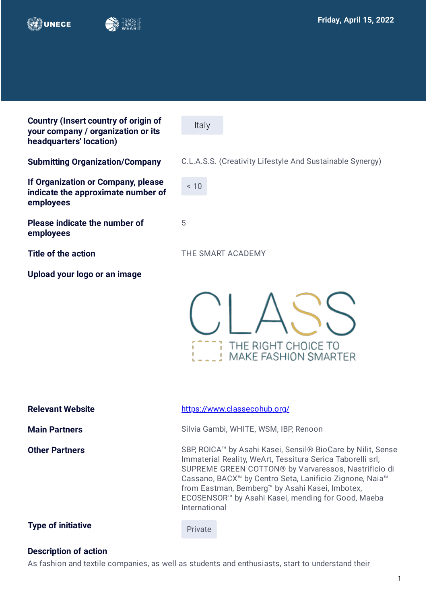



**Country (Insert country of origin of your company / organization or its headquarters' location)**

**If Organization or Company, please indicate the approximate number of employees**

**Please indicate the number of employees** 

**Upload your logo or an image**

Italy

**Submitting Organization/Company** C.L.A.S.S. (Creativity Lifestyle And Sustainable Synergy)

 $~10$ 

5

**Title of the action THE SMART ACADEMY** 

THE RIGHT CHOICE TO **MAKE FASHION SMARTER** 

| <b>Relevant Website</b>   | https://www.classecohub.org/                                                                                                                                                                                                                                                                                                                                                                               |
|---------------------------|------------------------------------------------------------------------------------------------------------------------------------------------------------------------------------------------------------------------------------------------------------------------------------------------------------------------------------------------------------------------------------------------------------|
| <b>Main Partners</b>      | Silvia Gambi, WHITE, WSM, IBP, Renoon                                                                                                                                                                                                                                                                                                                                                                      |
| <b>Other Partners</b>     | SBP, ROICA™ by Asahi Kasei, Sensil <sup>®</sup> BioCare by Nilit, Sense<br>Immaterial Reality, WeArt, Tessitura Serica Taborelli srl,<br>SUPREME GREEN COTTON® by Varvaressos, Nastrificio di<br>Cassano, BACX <sup>™</sup> by Centro Seta, Lanificio Zignone, Naia <sup>™</sup><br>from Eastman, Bemberg™ by Asahi Kasei, Imbotex,<br>ECOSENSOR™ by Asahi Kasei, mending for Good, Maeba<br>International |
| <b>Type of initiative</b> | Private                                                                                                                                                                                                                                                                                                                                                                                                    |

## **Description of action**

As fashion and textile companies, as well as students and enthusiasts, start to understand their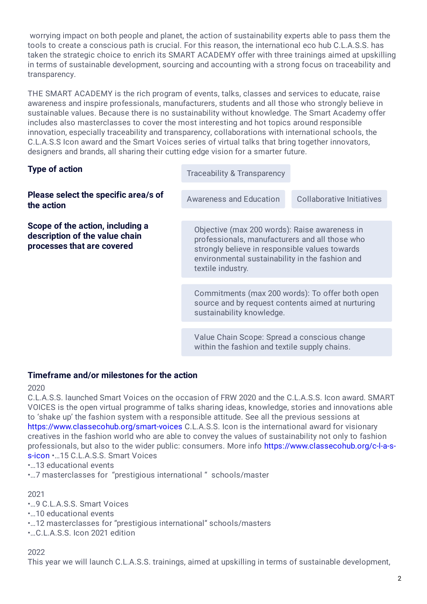worrying impact on both people and planet, the action of sustainability experts able to pass them the tools to create a conscious path is crucial. For this reason, the international eco hub C.L.A.S.S. has taken the strategic choice to enrich its SMART ACADEMY offer with three trainings aimed at upskilling in terms of sustainable development, sourcing and accounting with a strong focus on traceability and transparency.

THE SMART ACADEMY is the rich program of events, talks, classes and services to educate, raise awareness and inspire professionals, manufacturers, students and all those who strongly believe in sustainable values. Because there is no sustainability without knowledge. The Smart Academy offer includes also masterclasses to cover the most interesting and hot topics around responsible innovation, especially traceability and transparency, collaborations with international schools, the C.L.A.S.S Icon award and the Smart Voices series of virtual talks that bring together innovators, designers and brands, all sharing their cutting edge vision for a smarter future.

| <b>Type of action</b>                                                                            | Traceability & Transparency                                                                                                                                                                                               |                                  |
|--------------------------------------------------------------------------------------------------|---------------------------------------------------------------------------------------------------------------------------------------------------------------------------------------------------------------------------|----------------------------------|
| Please select the specific area/s of<br>the action                                               | <b>Awareness and Education</b>                                                                                                                                                                                            | <b>Collaborative Initiatives</b> |
| Scope of the action, including a<br>description of the value chain<br>processes that are covered | Objective (max 200 words): Raise awareness in<br>professionals, manufacturers and all those who<br>strongly believe in responsible values towards<br>environmental sustainability in the fashion and<br>textile industry. |                                  |
|                                                                                                  | Commitments (max 200 words): To offer both open<br>source and by request contents aimed at nurturing<br>sustainability knowledge.                                                                                         |                                  |
|                                                                                                  | Value Chain Scope: Spread a conscious change<br>within the fashion and textile supply chains.                                                                                                                             |                                  |

## **Timeframe and/or milestones for the action**

2020

C.L.A.S.S. launched Smart Voices on the occasion of FRW 2020 and the C.L.A.S.S. Icon award. SMART VOICES is the open virtual programme of talks sharing ideas, knowledge, stories and innovations able to 'shake up' the fashion system with a responsible attitude. See all the previous sessions at <https://www.classecohub.org/smart-voices> C.L.A.S.S. Icon is the international award for visionary creatives in the fashion world who are able to convey the values of sustainability not only to fashion [professionals, but also to the wider public: consumers. More info https://www.classecohub.org/c-l-a-s](https://www.classecohub.org/c-l-a-s-s-icon)s-icon •…15 C.L.A.S.S. Smart Voices

•…13 educational events

•…7 masterclasses for "prestigious international " schools/master

2021

•…9 C.L.A.S.S. Smart Voices

•…10 educational events

•…12 masterclasses for "prestigious international" schools/masters

•…C.L.A.S.S. Icon 2021 edition

## 2022

This year we will launch C.L.A.S.S. trainings, aimed at upskilling in terms of sustainable development,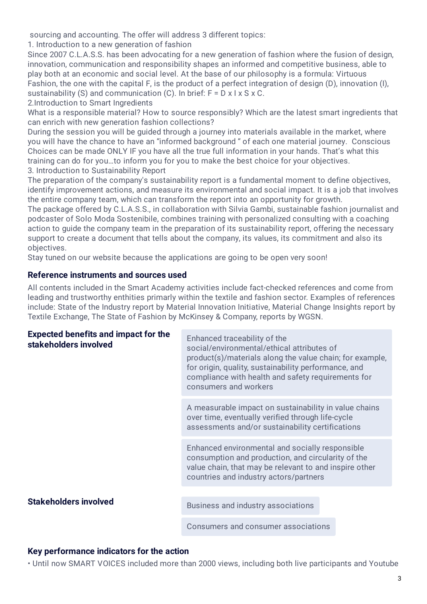sourcing and accounting. The offer will address 3 different topics:

1. Introduction to a new generation of fashion

Since 2007 C.L.A.S.S. has been advocating for a new generation of fashion where the fusion of design, innovation, communication and responsibility shapes an informed and competitive business, able to play both at an economic and social level. At the base of our philosophy is a formula: Virtuous Fashion, the one with the capital F, is the product of a perfect integration of design (D), innovation (I), sustainability (S) and communication (C). In brief:  $F = D \times I \times S \times C$ .

2.Introduction to Smart Ingredients

What is a responsible material? How to source responsibly? Which are the latest smart ingredients that can enrich with new generation fashion collections?

During the session you will be quided through a journey into materials available in the market, where you will have the chance to have an "informed background " of each one material journey. Conscious Choices can be made ONLY IF you have all the true full information in your hands. That's what this training can do for you…to inform you for you to make the best choice for your objectives. 3. Introduction to Sustainability Report

The preparation of the company's sustainability report is a fundamental moment to define objectives, identify improvement actions, and measure its environmental and social impact. It is a job that involves the entire company team, which can transform the report into an opportunity for growth.

The package offered by C.L.A.S.S., in collaboration with Silvia Gambi, sustainable fashion journalist and podcaster of Solo Moda Sostenibile, combines training with personalized consulting with a coaching action to guide the company team in the preparation of its sustainability report, offering the necessary support to create a document that tells about the company, its values, its commitment and also its objectives.

Stay tuned on our website because the applications are going to be open very soon!

## **Reference instruments and sources used**

All contents included in the Smart Academy activities include fact-checked references and come from leading and trustworthy enthities primarly within the textile and fashion sector. Examples of references include: State of the Industry report by Material Innovation Initiative, Material Change Insights report by Textile Exchange, The State of Fashion by McKinsey & Company, reports by WGSN.

| <b>Expected benefits and impact for the</b><br>stakeholders involved | Enhanced traceability of the<br>social/environmental/ethical attributes of<br>product(s)/materials along the value chain; for example,<br>for origin, quality, sustainability performance, and<br>compliance with health and safety requirements for<br>consumers and workers |
|----------------------------------------------------------------------|-------------------------------------------------------------------------------------------------------------------------------------------------------------------------------------------------------------------------------------------------------------------------------|
|                                                                      | A measurable impact on sustainability in value chains<br>over time, eventually verified through life-cycle<br>assessments and/or sustainability certifications                                                                                                                |
|                                                                      | Enhanced environmental and socially responsible<br>consumption and production, and circularity of the<br>value chain, that may be relevant to and inspire other<br>countries and industry actors/partners                                                                     |
| <b>Stakeholders involved</b>                                         | Business and industry associations                                                                                                                                                                                                                                            |
|                                                                      | Consumers and consumer associations                                                                                                                                                                                                                                           |

# **Key performance indicators for the action**

• Until now SMART VOICES included more than 2000 views, including both live participants and Youtube